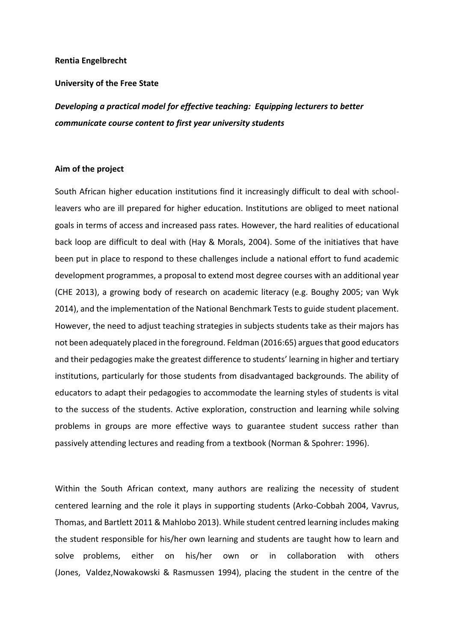### **Rentia Engelbrecht**

### **University of the Free State**

*Developing a practical model for effective teaching: Equipping lecturers to better communicate course content to first year university students*

### **Aim of the project**

South African higher education institutions find it increasingly difficult to deal with schoolleavers who are ill prepared for higher education. Institutions are obliged to meet national goals in terms of access and increased pass rates. However, the hard realities of educational back loop are difficult to deal with (Hay & Morals, 2004). Some of the initiatives that have been put in place to respond to these challenges include a national effort to fund academic development programmes, a proposal to extend most degree courses with an additional year (CHE 2013), a growing body of research on academic literacy (e.g. Boughy 2005; van Wyk 2014), and the implementation of the National Benchmark Tests to guide student placement. However, the need to adjust teaching strategies in subjects students take as their majors has not been adequately placed in the foreground. Feldman (2016:65) argues that good educators and their pedagogies make the greatest difference to students' learning in higher and tertiary institutions, particularly for those students from disadvantaged backgrounds. The ability of educators to adapt their pedagogies to accommodate the learning styles of students is vital to the success of the students. Active exploration, construction and learning while solving problems in groups are more effective ways to guarantee student success rather than passively attending lectures and reading from a textbook (Norman & Spohrer: 1996).

Within the South African context, many authors are realizing the necessity of student centered learning and the role it plays in supporting students (Arko-Cobbah 2004, Vavrus, Thomas, and Bartlett 2011 & Mahlobo 2013). While student centred learning includes making the student responsible for his/her own learning and students are taught how to learn and solve problems, either on his/her own or in collaboration with others (Jones, Valdez,Nowakowski & Rasmussen 1994), placing the student in the centre of the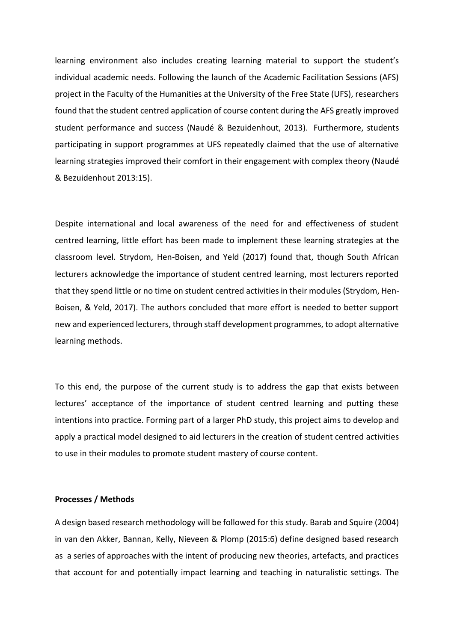learning environment also includes creating learning material to support the student's individual academic needs. Following the launch of the Academic Facilitation Sessions (AFS) project in the Faculty of the Humanities at the University of the Free State (UFS), researchers found that the student centred application of course content during the AFS greatly improved student performance and success (Naudé & Bezuidenhout, 2013). Furthermore, students participating in support programmes at UFS repeatedly claimed that the use of alternative learning strategies improved their comfort in their engagement with complex theory (Naudé & Bezuidenhout 2013:15).

Despite international and local awareness of the need for and effectiveness of student centred learning, little effort has been made to implement these learning strategies at the classroom level. Strydom, Hen-Boisen, and Yeld (2017) found that, though South African lecturers acknowledge the importance of student centred learning, most lecturers reported that they spend little or no time on student centred activities in their modules (Strydom, Hen-Boisen, & Yeld, 2017). The authors concluded that more effort is needed to better support new and experienced lecturers, through staff development programmes, to adopt alternative learning methods.

To this end, the purpose of the current study is to address the gap that exists between lectures' acceptance of the importance of student centred learning and putting these intentions into practice. Forming part of a larger PhD study, this project aims to develop and apply a practical model designed to aid lecturers in the creation of student centred activities to use in their modules to promote student mastery of course content.

## **Processes / Methods**

A design based research methodology will be followed for this study. Barab and Squire (2004) in van den Akker, Bannan, Kelly, Nieveen & Plomp (2015:6) define designed based research as a series of approaches with the intent of producing new theories, artefacts, and practices that account for and potentially impact learning and teaching in naturalistic settings. The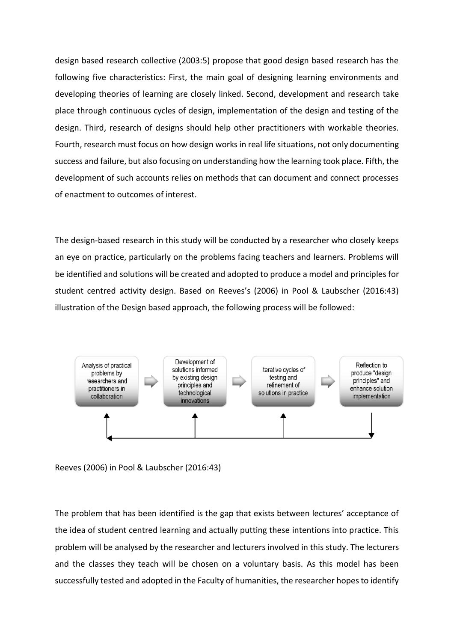design based research collective (2003:5) propose that good design based research has the following five characteristics: First, the main goal of designing learning environments and developing theories of learning are closely linked. Second, development and research take place through continuous cycles of design, implementation of the design and testing of the design. Third, research of designs should help other practitioners with workable theories. Fourth, research must focus on how design works in real life situations, not only documenting success and failure, but also focusing on understanding how the learning took place. Fifth, the development of such accounts relies on methods that can document and connect processes of enactment to outcomes of interest.

The design-based research in this study will be conducted by a researcher who closely keeps an eye on practice, particularly on the problems facing teachers and learners. Problems will be identified and solutions will be created and adopted to produce a model and principles for student centred activity design. Based on Reeves's (2006) in Pool & Laubscher (2016:43) illustration of the Design based approach, the following process will be followed:



Reeves (2006) in Pool & Laubscher (2016:43)

The problem that has been identified is the gap that exists between lectures' acceptance of the idea of student centred learning and actually putting these intentions into practice. This problem will be analysed by the researcher and lecturers involved in this study. The lecturers and the classes they teach will be chosen on a voluntary basis. As this model has been successfully tested and adopted in the Faculty of humanities, the researcher hopes to identify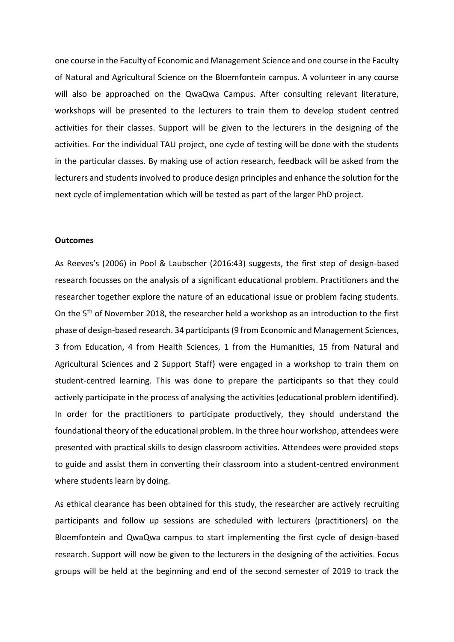one course in the Faculty of Economic and Management Science and one course in the Faculty of Natural and Agricultural Science on the Bloemfontein campus. A volunteer in any course will also be approached on the QwaQwa Campus. After consulting relevant literature, workshops will be presented to the lecturers to train them to develop student centred activities for their classes. Support will be given to the lecturers in the designing of the activities. For the individual TAU project, one cycle of testing will be done with the students in the particular classes. By making use of action research, feedback will be asked from the lecturers and students involved to produce design principles and enhance the solution for the next cycle of implementation which will be tested as part of the larger PhD project.

### **Outcomes**

As Reeves's (2006) in Pool & Laubscher (2016:43) suggests, the first step of design-based research focusses on the analysis of a significant educational problem. Practitioners and the researcher together explore the nature of an educational issue or problem facing students. On the 5th of November 2018, the researcher held a workshop as an introduction to the first phase of design-based research. 34 participants(9 from Economic and Management Sciences, 3 from Education, 4 from Health Sciences, 1 from the Humanities, 15 from Natural and Agricultural Sciences and 2 Support Staff) were engaged in a workshop to train them on student-centred learning. This was done to prepare the participants so that they could actively participate in the process of analysing the activities (educational problem identified). In order for the practitioners to participate productively, they should understand the foundational theory of the educational problem. In the three hour workshop, attendees were presented with practical skills to design classroom activities. Attendees were provided steps to guide and assist them in converting their classroom into a student-centred environment where students learn by doing.

As ethical clearance has been obtained for this study, the researcher are actively recruiting participants and follow up sessions are scheduled with lecturers (practitioners) on the Bloemfontein and QwaQwa campus to start implementing the first cycle of design-based research. Support will now be given to the lecturers in the designing of the activities. Focus groups will be held at the beginning and end of the second semester of 2019 to track the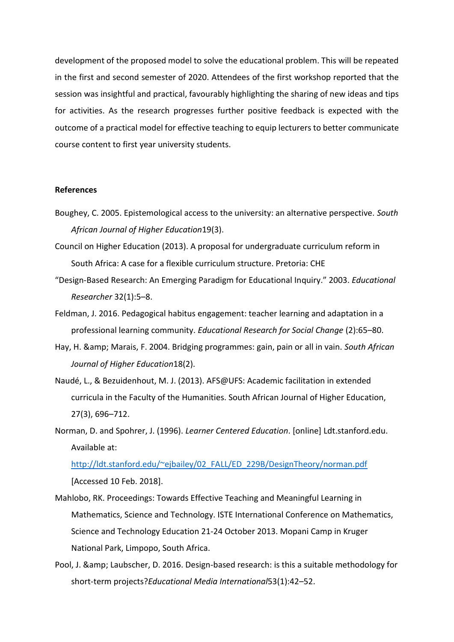development of the proposed model to solve the educational problem. This will be repeated in the first and second semester of 2020. Attendees of the first workshop reported that the session was insightful and practical, favourably highlighting the sharing of new ideas and tips for activities. As the research progresses further positive feedback is expected with the outcome of a practical model for effective teaching to equip lecturers to better communicate course content to first year university students.

# **References**

- Boughey, C. 2005. Epistemological access to the university: an alternative perspective. *South African Journal of Higher Education*19(3).
- Council on Higher Education (2013). A proposal for undergraduate curriculum reform in South Africa: A case for a flexible curriculum structure. Pretoria: CHE
- "Design-Based Research: An Emerging Paradigm for Educational Inquiry." 2003. *Educational Researcher* 32(1):5–8.
- Feldman, J. 2016. Pedagogical habitus engagement: teacher learning and adaptation in a professional learning community. *Educational Research for Social Change* (2):65–80.
- Hay, H. & Marais, F. 2004. Bridging programmes: gain, pain or all in vain. *South African Journal of Higher Education*18(2).
- Naudé, L., & Bezuidenhout, M. J. (2013). AFS@UFS: Academic facilitation in extended curricula in the Faculty of the Humanities. South African Journal of Higher Education, 27(3), 696–712.
- Norman, D. and Spohrer, J. (1996). *Learner Centered Education*. [online] Ldt.stanford.edu. Available at:

[http://ldt.stanford.edu/~ejbailey/02\\_FALL/ED\\_229B/DesignTheory/norman.pdf](http://ldt.stanford.edu/~ejbailey/02_FALL/ED_229B/DesignTheory/norman.pdf)  [Accessed 10 Feb. 2018].

- Mahlobo, RK. Proceedings: Towards Effective Teaching and Meaningful Learning in Mathematics, Science and Technology. ISTE International Conference on Mathematics, Science and Technology Education 21-24 October 2013. Mopani Camp in Kruger National Park, Limpopo, South Africa.
- Pool, J. & amp; Laubscher, D. 2016. Design-based research: is this a suitable methodology for short-term projects?*Educational Media International*53(1):42–52.